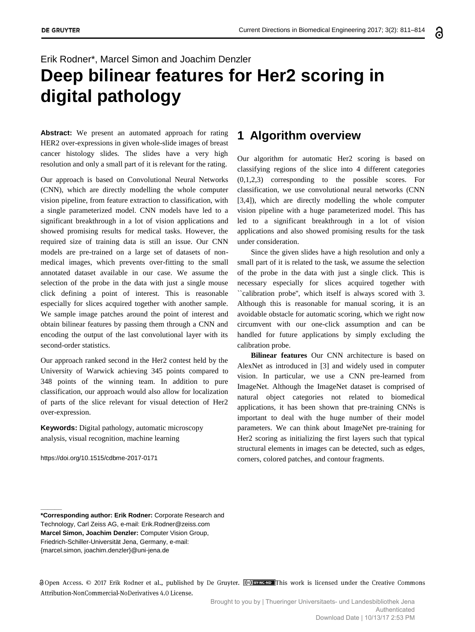# Erik Rodner\*, Marcel Simon and Joachim Denzler **Deep bilinear features for Her2 scoring in digital pathology**

**Abstract:** We present an automated approach for rating HER2 over-expressions in given whole-slide images of breast cancer histology slides. The slides have a very high resolution and only a small part of it is relevant for the rating.

Our approach is based on Convolutional Neural Networks (CNN), which are directly modelling the whole computer vision pipeline, from feature extraction to classification, with a single parameterized model. CNN models have led to a significant breakthrough in a lot of vision applications and showed promising results for medical tasks. However, the required size of training data is still an issue. Our CNN models are pre-trained on a large set of datasets of nonmedical images, which prevents over-fitting to the small annotated dataset available in our case. We assume the selection of the probe in the data with just a single mouse click defining a point of interest. This is reasonable especially for slices acquired together with another sample. We sample image patches around the point of interest and obtain bilinear features by passing them through a CNN and encoding the output of the last convolutional layer with its second-order statistics.

Our approach ranked second in the Her2 contest held by the University of Warwick achieving 345 points compared to 348 points of the winning team. In addition to pure classification, our approach would also allow for localization of parts of the slice relevant for visual detection of Her2 over-expression.

**Keywords:** Digital pathology, automatic microscopy analysis, visual recognition, machine learning

https://doi.org/10.1515/cdbme-2017-0171

**\_\_\_\_\_\_**

#### **1 Algorithm overview**

Our algorithm for automatic Her2 scoring is based on classifying regions of the slice into 4 different categories (0,1,2,3) corresponding to the possible scores. For classification, we use convolutional neural networks (CNN [3,4]), which are directly modelling the whole computer vision pipeline with a huge parameterized model. This has led to a significant breakthrough in a lot of vision applications and also showed promising results for the task under consideration.

Since the given slides have a high resolution and only a small part of it is related to the task, we assume the selection of the probe in the data with just a single click. This is necessary especially for slices acquired together with ``calibration probe'', which itself is always scored with 3. Although this is reasonable for manual scoring, it is an avoidable obstacle for automatic scoring, which we right now circumvent with our one-click assumption and can be handled for future applications by simply excluding the calibration probe.

**Bilinear features** Our CNN architecture is based on AlexNet as introduced in [3] and widely used in computer vision. In particular, we use a CNN pre-learned from ImageNet. Although the ImageNet dataset is comprised of natural object categories not related to biomedical applications, it has been shown that pre-training CNNs is important to deal with the huge number of their model parameters. We can think about ImageNet pre-training for Her2 scoring as initializing the first layers such that typical structural elements in images can be detected, such as edges, corners, colored patches, and contour fragments.

8 Open Access. © 2017 Erik Rodner et al., published by De Gruyter. (© BACCHE This work is licensed under the Creative Commons Attribution-NonCommercial-NoDerivatives 4.0 License.

**<sup>\*</sup>Corresponding author: Erik Rodner:** Corporate Research and Technology, Carl Zeiss AG, e-mail: Erik.Rodner@zeiss.com **Marcel Simon, Joachim Denzler:** Computer Vision Group, Friedrich-Schiller-Universität Jena, Germany, e-mail: {marcel.simon, joachim.denzler}@uni-jena.de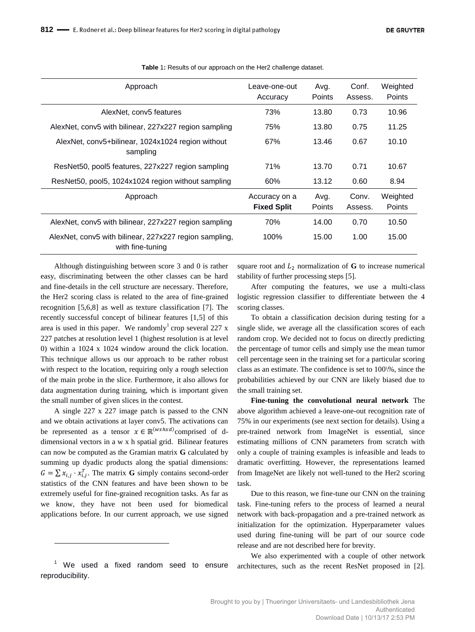| Approach                                                                   | Leave-one-out<br>Accuracy           | Avg.<br>Points        | Conf.<br>Assess. | Weighted<br><b>Points</b> |
|----------------------------------------------------------------------------|-------------------------------------|-----------------------|------------------|---------------------------|
| AlexNet, conv5 features                                                    | 73%                                 | 13.80                 | 0.73             | 10.96                     |
| AlexNet, conv5 with bilinear, 227x227 region sampling                      | 75%                                 | 13.80                 | 0.75             | 11.25                     |
| AlexNet, conv5+bilinear, 1024x1024 region without<br>sampling              | 67%                                 | 13.46                 | 0.67             | 10.10                     |
| ResNet50, pool5 features, 227x227 region sampling                          | 71%                                 | 13.70                 | 0.71             | 10.67                     |
| ResNet50, pool5, 1024x1024 region without sampling                         | 60%                                 | 13.12                 | 0.60             | 8.94                      |
| Approach                                                                   | Accuracy on a<br><b>Fixed Split</b> | Avg.<br><b>Points</b> | Conv.<br>Assess. | Weighted<br>Points        |
| AlexNet, conv5 with bilinear, 227x227 region sampling                      | 70%                                 | 14.00                 | 0.70             | 10.50                     |
| AlexNet, conv5 with bilinear, 227x227 region sampling,<br>with fine-tuning | 100%                                | 15.00                 | 1.00             | 15.00                     |

**Table** 1**:** Results of our approach on the Her2 challenge dataset.

Although distinguishing between score 3 and 0 is rather easy, discriminating between the other classes can be hard and fine-details in the cell structure are necessary. Therefore, the Her2 scoring class is related to the area of fine-grained recognition [5,6,8] as well as texture classification [7]. The recently successful concept of bilinear features [1,5] of this area is used in this paper. We randomly<sup>1</sup> crop several  $227 \text{ x}$ 227 patches at resolution level 1 (highest resolution is at level 0) within a 1024 x 1024 window around the click location. This technique allows us our approach to be rather robust with respect to the location, requiring only a rough selection of the main probe in the slice. Furthermore, it also allows for data augmentation during training, which is important given the small number of given slices in the contest.

A single 227 x 227 image patch is passed to the CNN and we obtain activations at layer conv5. The activations can be represented as a tensor  $x \in \mathbb{R}^{(w x h x d)}$ comprised of ddimensional vectors in a w x h spatial grid. Bilinear features can now be computed as the Gramian matrix **G** calculated by summing up dyadic products along the spatial dimensions:  $G = \sum x_{i,i} \cdot x_{i,i}^T$ . The matrix **G** simply contains second-order statistics of the CNN features and have been shown to be extremely useful for fine-grained recognition tasks. As far as we know, they have not been used for biomedical applications before. In our current approach, we use signed

square root and  $L_2$  normalization of **G** to increase numerical stability of further processing steps [5].

After computing the features, we use a multi-class logistic regression classifier to differentiate between the 4 scoring classes.

To obtain a classification decision during testing for a single slide, we average all the classification scores of each random crop. We decided not to focus on directly predicting the percentage of tumor cells and simply use the mean tumor cell percentage seen in the training set for a particular scoring class as an estimate. The confidence is set to 100\%, since the probabilities achieved by our CNN are likely biased due to the small training set.

**Fine-tuning the convolutional neural network** The above algorithm achieved a leave-one-out recognition rate of 75% in our experiments (see next section for details). Using a pre-trained network from ImageNet is essential, since estimating millions of CNN parameters from scratch with only a couple of training examples is infeasible and leads to dramatic overfitting. However, the representations learned from ImageNet are likely not well-tuned to the Her2 scoring task.

Due to this reason, we fine-tune our CNN on the training task. Fine-tuning refers to the process of learned a neural network with back-propagation and a pre-trained network as initialization for the optimization. Hyperparameter values used during fine-tuning will be part of our source code release and are not described here for brevity.

We also experimented with a couple of other network architectures, such as the recent ResNet proposed in [2].

<sup>&</sup>lt;sup>1</sup> We used a fixed random seed to ensure reproducibility.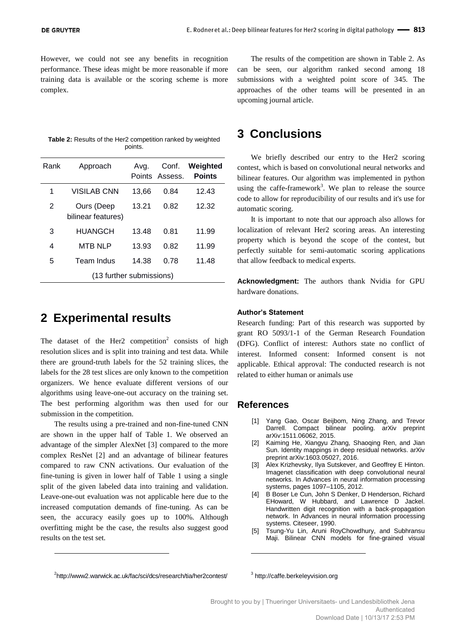However, we could not see any benefits in recognition performance. These ideas might be more reasonable if more training data is available or the scoring scheme is more complex.

| <b>Table 2:</b> Results of the Her2 competition ranked by weighted |
|--------------------------------------------------------------------|
| points.                                                            |

| Rank                     | Approach                         | Ava.  | Conf.<br>Points Assess. | Weighted<br><b>Points</b> |  |  |
|--------------------------|----------------------------------|-------|-------------------------|---------------------------|--|--|
| 1                        | <b>VISILAB CNN</b>               | 13.66 | 0.84                    | 12.43                     |  |  |
| 2                        | Ours (Deep<br>bilinear features) | 13.21 | 0.82                    | 12.32                     |  |  |
| 3                        | <b>HUANGCH</b>                   | 13.48 | 0.81                    | 11.99                     |  |  |
| 4                        | <b>MTB NLP</b>                   | 13.93 | 0.82                    | 11.99                     |  |  |
| 5                        | Team Indus                       | 14.38 | 0.78                    | 11.48                     |  |  |
| (13 further submissions) |                                  |       |                         |                           |  |  |

## **2 Experimental results**

The dataset of the Her2 competition<sup>2</sup> consists of high resolution slices and is split into training and test data. While there are ground-truth labels for the 52 training slices, the labels for the 28 test slices are only known to the competition organizers. We hence evaluate different versions of our algorithms using leave-one-out accuracy on the training set. The best performing algorithm was then used for our submission in the competition.

The results using a pre-trained and non-fine-tuned CNN are shown in the upper half of Table 1. We observed an advantage of the simpler AlexNet [3] compared to the more complex ResNet [2] and an advantage of bilinear features compared to raw CNN activations. Our evaluation of the fine-tuning is given in lower half of Table 1 using a single split of the given labeled data into training and validation. Leave-one-out evaluation was not applicable here due to the increased computation demands of fine-tuning. As can be seen, the accuracy easily goes up to 100%. Although overfitting might be the case, the results also suggest good results on the test set.

The results of the competition are shown in Table 2. As can be seen, our algorithm ranked second among 18 submissions with a weighted point score of 345. The approaches of the other teams will be presented in an upcoming journal article.

### **3 Conclusions**

We briefly described our entry to the Her2 scoring contest, which is based on convolutional neural networks and bilinear features. Our algorithm was implemented in python using the caffe-framework<sup>3</sup>. We plan to release the source code to allow for reproducibility of our results and it's use for automatic scoring.

It is important to note that our approach also allows for localization of relevant Her2 scoring areas. An interesting property which is beyond the scope of the contest, but perfectly suitable for semi-automatic scoring applications that allow feedback to medical experts.

**Acknowledgment:** The authors thank Nvidia for GPU hardware donations.

#### **Author's Statement**

Research funding: Part of this research was supported by grant RO 5093/1-1 of the German Research Foundation (DFG). Conflict of interest: Authors state no conflict of interest. Informed consent: Informed consent is not applicable. Ethical approval: The conducted research is not related to either human or animals use

#### **References**

- [1] Yang Gao, Oscar Beijbom, Ning Zhang, and Trevor Darrell. Compact bilinear pooling. arXiv preprint arXiv:1511.06062, 2015.
- [2] Kaiming He, Xiangyu Zhang, Shaoqing Ren, and Jian Sun. Identity mappings in deep residual networks. arXiv preprint arXiv:1603.05027, 2016.
- [3] Alex Krizhevsky, Ilya Sutskever, and Geoffrey E Hinton. Imagenet classification with deep convolutional neural networks. In Advances in neural information processing systems, pages 1097–1105, 2012.
- [4] B Boser Le Cun, John S Denker, D Henderson, Richard EHoward, W Hubbard, and Lawrence D Jackel. Handwritten digit recognition with a back-propagation network. In Advances in neural information processing systems. Citeseer, 1990.
- [5] Tsung-Yu Lin, Aruni RoyChowdhury, and Subhransu Maji. Bilinear CNN models for fine-grained visual

<sup>&</sup>lt;sup>2</sup>http://www2.warwick.ac.uk/fac/sci/dcs/research/tia/her2contest/

<sup>3</sup> http://caffe.berkeleyvision.org